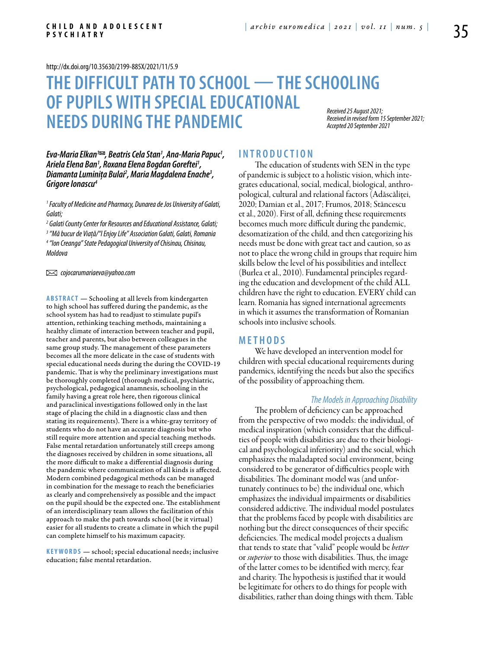<http://dx.doi.org/10.35630/2199-885X/2021/11/5.9>

# **THE DIFFICULT PATH TO SCHOOL — THESCHOOLING OF PUPILS WITH SPECIALEDUCATIONAL NEEDS DURING THE PANDEMIC** *Received 25 August 2021; Accepted 20 September 2021*

*Received in revised form 15 September 2021;* 

Eva-Maria Elkan™ *, Beatris Cela Stan' , Ana-Maria Papuc<sup>1</sup>,<br>Ariela Elena Ban<sup>1</sup>, Roxana Elena Bogdan Goreftei<sup>1</sup>, , Roxana Elena Bogdan Goreftei1* Ariela Elena Ban<sup>1</sup>, Roxana Elena Bogdan Goreftei<sup>1</sup>,<br>Diamanta Luminița Bulai<sup>2</sup>, Maria Magdalena Enache<sup>3</sup>,<br>Grigore Ionascu<sup>4</sup>

*1 Faculty of Medicine and Pharmacy, Dunarea de Jos University of Galati, Galati;* 

  *Galati County Center for Resources and Educational Assistance, Galati; "Mă bucur de Viață/"I Enjoy Life" Association Galati, Galati, Romania "Ion Creanga" State Pedagogical University of Chisinau, Chisinau, Moldova* 

 *cojocarumariaeva@yahoo.com* 

**ABSTRACT** — Schooling at all levels from kindergarten to high school has suffered during the pandemic, as the school system has had to readjust to stimulate pupil's attention, rethinking teaching methods, maintaining a healthy climate of interaction between teacher and pupil, teacher and parents, but also between colleagues in the same group study. The management of these parameters becomes all the more delicate in the case of students with special educational needs during the during the COVID-19 pandemic. That is why the preliminary investigations must be thoroughly completed (thorough medical, psychiatric, psychological, pedagogical anamnesis, schooling in the family having a great role here, then rigorous clinical and paraclinical investigations followed only in the last stage of placing the child in a diagnostic class and then stating its requirements). There is a white-gray territory of students who do not have an accurate diagnosis but who still require more attention and special teaching methods. False mental retardation unfortunately still creeps among the diagnoses received by children in some situations, all the more difficult to make a differential diagnosis during the pandemic where communication of all kinds is affected. Modern combined pedagogical methods can be managed in combination for the message to reach the beneficiaries as clearly and comprehensively as possible and the impact on the pupil should be the expected one. The establishment of an interdisciplinary team allows the facilitation of this approach to make the path towards school (be it virtual) easier for all students to create a climate in which the pupil can complete himself to his maximum capacity.

KEYWORDS - school; special educational needs; inclusive education; false mental retardation.

### **I n t r o d uct i o n**

The education of students with SEN in the type of pandemic is subject to a holistic vision, which integrates educational, social, medical, biological, anthropological, cultural and relational factors (Adăscăliței, 2020; Damian et al., 2017; Frumos, 2018; Stăncescu et al., 2020). First of all, defining these requirements becomes much more difficult during the pandemic, desomatization of the child, and then categorizing his needs must be done with great tact and caution, so as not to place the wrong child in groups that require him skills below the level of his possibilities and intellect (Burlea et al., 2010). Fundamental principles regarding the education and development of the child ALL children have the right to education. EVERY child can learn. Romania has signed international agreements in which it assumes the transformation of Romanian schools into inclusive schools.

# **MET H ODS**

We have developed an intervention model for children with special educational requirements during pandemics, identifying the needs but also the specifics of the possibility of approaching them.

#### *The Models in Approaching Disability*

The problem of deficiency can be approached from the perspective of two models: the individual, of medical inspiration (which considers that the difficulties of people with disabilities are due to their biological and psychological inferiority) and the social, which emphasizes the maladapted social environment, being considered to be generator of difficulties people with disabilities. The dominant model was (and unfortunately continues to be) the individual one, which emphasizes the individual impairments or disabilities considered addictive. The individual model postulates that the problems faced by people with disabilities are nothing but the direct consequences of their specific deficiencies. The medical model projects a dualism that tends to state that "valid" people would be *better* or *superior* to those with disabilities. Thus, the image of the latter comes to be identified with mercy, fear and charity. The hypothesis is justified that it would be legitimate for others to do things for people with disabilities, rather than doing things with them. Table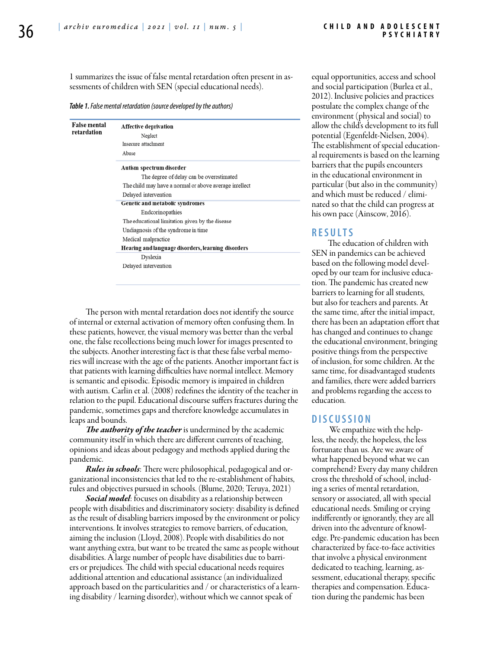1 summarizes the issue of false mental retardation often present in assessments of children with SEN (special educational needs).

*Table 1. False mental retardation (source developed by the authors)*

| <b>False mental</b><br>retardation | Affective deprivation<br>Neglect<br>Insecure attachment<br>Abuse |
|------------------------------------|------------------------------------------------------------------|
|                                    | Autism spectrum disorder                                         |
|                                    | The degree of delay can be overestimated                         |
|                                    | The child may have a normal or above average intellect           |
|                                    | Delaved intervention                                             |
|                                    | Genetic and metabolic syndromes                                  |
|                                    | Endcorinopathies                                                 |
|                                    | The educational limitation given by the disease                  |
|                                    | Undiagnosis of the syndrome in time                              |
|                                    | Medical malpractice                                              |
|                                    | Hearing and language disorders, learning disorders               |
|                                    | Dyslexia                                                         |
|                                    | Delayed intervention                                             |

The person with mental retardation does not identify the source of internal or external activation of memory often confusing them. In these patients, however, the visual memory was better than the verbal one, the false recollections being much lower for images presented to the subjects. Another interesting fact is that these false verbal memories will increase with the age of the patients. Another important fact is that patients with learning difficulties have normal intellect. Memory is semantic and episodic. Episodic memory is impaired in children with autism. Carlin et al. (2008) redefines the identity of the teacher in relation to the pupil. Educational discourse suffers fractures during the pandemic, sometimes gaps and therefore knowledge accumulates in leaps and bounds.

*The authority of the teacher* is undermined by the academic community itself in which there are different currents of teaching, opinions and ideas about pedagogy and methods applied during the pandemic.

*Rules in schools*: There were philosophical, pedagogical and organizational inconsistencies that led to the re-establishment of habits, rules and objectives pursued in schools. (Blume, 2020; Teruya, 2021)

*Social model*: focuses on disability as a relationship between people with disabilities and discriminatory society: disability is defined as the result of disabling barriers imposed by the environment or policy interventions. It involves strategies to remove barriers, of education, aiming the inclusion (Lloyd, 2008). People with disabilities do not want anything extra, but want to be treated the same as people without disabilities. A large number of people have disabilities due to barriers or prejudices. The child with special educational needs requires additional attention and educational assistance (an individualized approach based on the particularities and / or characteristics of a learning disability / learning disorder), without which we cannot speak of

equal opportunities, access and school and social participation (Burlea et al., 2012). Inclusive policies and practices postulate the complex change of the environment (physical and social) to allow the child's development to its full potential (Egenfeldt-Nielsen, 2004). The establishment of special educational requirements is based on the learning barriers that the pupils encounters in the educational environment in particular (but also in the community) and which must be reduced / eliminated so that the child can progress at his own pace (Ainscow, 2016).

# **RES U LTS**

The education of children with SEN in pandemics can be achieved based on the following model developed by our team for inclusive education. The pandemic has created new barriers to learning for all students, but also for teachers and parents. At the same time, after the initial impact, there has been an adaptation effort that has changed and continues to change the educational environment, bringing positive things from the perspective of inclusion, for some children. At the same time, for disadvantaged students and families, there were added barriers and problems regarding the access to education.

# **DISC U SSION**

 We empathize with the helpless, the needy, the hopeless, the less fortunate than us. Are we aware of what happened beyond what we can comprehend? Every day many children cross the threshold of school, including a series of mental retardation, sensory or associated, all with special educational needs. Smiling or crying indifferently or ignorantly, they are all driven into the adventure of knowledge. Pre-pandemic education has been characterized by face-to-face activities that involve a physical environment dedicated to teaching, learning, assessment, educational therapy, specific therapies and compensation. Education during the pandemic has been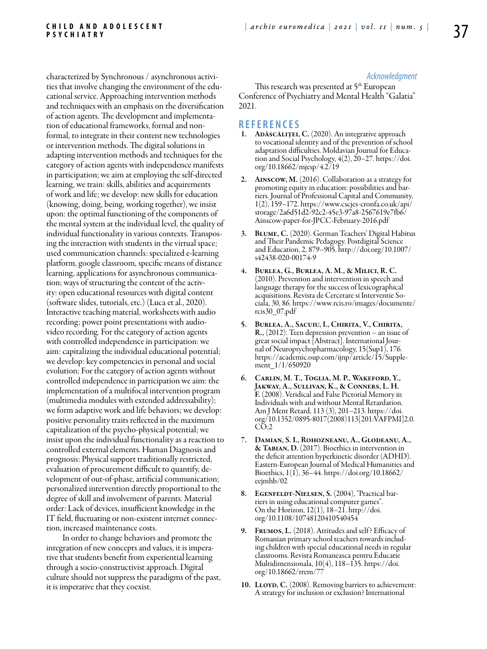characterized by Synchronous / asynchronous activities that involve changing the environment of the educational service. Approaching intervention methods and techniques with an emphasis on the diversification of action agents. The development and implementation of educational frameworks, formal and nonformal, to integrate in their content new technologies or intervention methods. The digital solutions in adapting intervention methods and techniques for the category of action agents with independence manifests in participation; we aim at employing the self-directed learning, we train: skills, abilities and acquirements of work and life; we develop: new skills for education (knowing, doing, being, working together), we insist upon: the optimal functioning of the components of the mental system at the individual level, the quality of individual functionality in various contexts. Transposing the interaction with students in the virtual space; used communication channels: specialized e-learning platform, google classroom, specific means of distance learning, applications for asynchronous communication; ways of structuring the content of the activity: open educational resources with digital content (software slides, tutorials, etc.) (Luca et al., 2020). Interactive teaching material, worksheets with audio recording; power point presentations with audiovideo recording. For the category of action agents with controlled independence in participation: we aim: capitalizing the individual educational potential; we develop: key competencies in personal and social evolution; For the category of action agents without controlled independence in participation we aim: the implementation of a multifocal intervention program (multimedia modules with extended addressability); we form adaptive work and life behaviors; we develop: positive personality traits reflected in the maximum capitalization of the psycho-physical potential; we insist upon the individual functionality as a reaction to controlled external elements. Human Diagnosis and prognosis: Physical support traditionally restricted, evaluation of procurement difficult to quantify, development of out-of-phase, artificial communication; personalized intervention directly proportional to the degree of skill and involvement of parents. Material order: Lack of devices, insufficient knowledge in the IT field, fluctuating or non-existent internet connection, increased maintenance costs.

In order to change behaviors and promote the integration of new concepts and values, it is imperative that students benefit from experiential learning through a socio-constructivist approach. Digital culture should not suppress the paradigms of the past, it is imperative that they coexist.

### *Acknowledgment*

This research was presented at 5<sup>th</sup> European Conference of Psychiatry and Mental Health "Galatia" 2021.

#### **REFEREN CES**

- 1. ADĂSCĂLIȚEI, C. (2020). An integrative approach to vocational identity and of the prevention of school adaptation difficulties. Moldavian Journal for Education and Social Psychology, 4(2), 20–27. https://doi. org/10.18662/mjesp/4.2/19
- 2. Ainscow, M. (2016). Collaboration as a strategy for promoting equity in education: possibilities and barriers. Journal of Professional Capital and Community, 1(2), 159–172. https://www.cscjes-cronfa.co.uk/api/ storage/2a6d51d2-92c2-45e3-97a8-2567619e7fb6/ Ainscow-paper-for-JPCC-February-2016.pdf
- 3. Blume, C. (2020). German Teachers' Digital Habitus and Their Pandemic Pedagogy. Postdigital Science and Education, 2, 879–905. http://doi.org/10.1007/ s42438-020-00174-9
- 4. Burlea, G., Burlea, A. M., & Milici, R. C. (2010). Prevention and intervention in speech and language therapy for the success of lexicographical acquisitions. Revista de Cercetare si Interventie So- ciala, 30, 86. https://www.rcis.ro/images/documente/ rcis30\_07.pdf
- 5. Burlea, A., Sacuiu, I., Chirita, V., Chirita, R., (2012). Teen depression prevention – an issue of great social impact [Abstract]. International Journal of Neuropsychopharmacology, 15(Sup1), 176. https://academic.oup.com/ijnp/article/15/Supplement  $1/1/650920$
- 6. Carlin, M. T., Toglia, M. P., Wakeford, Y., Jakway, A., Sullivan, K., & Conners, L. H. F. (2008). Veridical and False Pictorial Memory in Individuals with and without Mental Retardation. Am J Ment Retard, 113 (3), 201–213. https://doi. org/10.1352/0895-8017(2008)113[201:VAFPMI]2.0.  $CO:2$
- 7. Damian, S. I., Rohozneanu, A., Glodeanu, A., & Tabian, D. (2017). Bioethics in intervention in the deficit attention hyperkinetic disorder (ADHD). Eastern-European Journal of Medical Humanities and Bioethics, 1(1), 36–44. https://doi.org/10.18662/ eejmhb/02
- 8. Egenfeldt-Nielsen, S. (2004), "Practical barriers in using educational computer games". On the Horizon, 12(1), 18–21. http://doi. org/10.1108/10748120410540454
- 9. FRUMOS, L. (2018). Attitudes and self? Efficacy of Romanian primary school teachers towards including children with special educational needs in regular classrooms. Revista Romaneasca pentru Educatie Multidimensionala, 10(4), 118–135. https://doi. org/10.18662/rrem/77
- 10. LLOYD, C. (2008). Removing barriers to achievement: A strategy for inclusion or exclusion? International